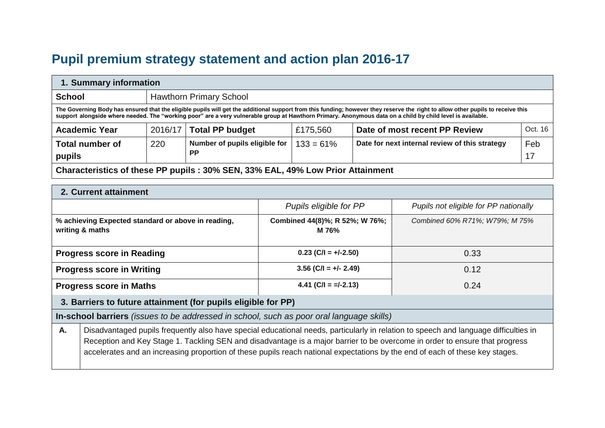# **Pupil premium strategy statement and action plan 2016-17**

| 1. Summary information                                                                                                                                                                                                                                                                                                                        |                                                                                 |                                |          |                               |         |
|-----------------------------------------------------------------------------------------------------------------------------------------------------------------------------------------------------------------------------------------------------------------------------------------------------------------------------------------------|---------------------------------------------------------------------------------|--------------------------------|----------|-------------------------------|---------|
| <b>School</b>                                                                                                                                                                                                                                                                                                                                 |                                                                                 | <b>Hawthorn Primary School</b> |          |                               |         |
| The Governing Body has ensured that the eligible pupils will get the additional support from this funding; however they reserve the right to allow other pupils to receive this<br>support alongside where needed. The "working poor" are a very vulnerable group at Hawthorn Primary. Anonymous data on a child by child level is available. |                                                                                 |                                |          |                               |         |
| <b>Academic Year</b>                                                                                                                                                                                                                                                                                                                          | 2016/17                                                                         | <b>Total PP budget</b>         | £175,560 | Date of most recent PP Review | Oct. 16 |
| Number of pupils eligible for<br>Date for next internal review of this strategy<br>Feb<br>220<br><b>Total number of</b><br>$133 = 61\%$<br><b>PP</b><br>17<br>pupils                                                                                                                                                                          |                                                                                 |                                |          |                               |         |
|                                                                                                                                                                                                                                                                                                                                               | Characteristics of these PP pupils : 30% SEN, 33% EAL, 49% Low Prior Attainment |                                |          |                               |         |

|  |  | 2. Current attainment |  |
|--|--|-----------------------|--|
|--|--|-----------------------|--|

|                                  |                                                                                                                                                                                                                                                                                                                                                                                                     | Pupils eligible for PP                  | Pupils not eligible for PP nationally |  |  |
|----------------------------------|-----------------------------------------------------------------------------------------------------------------------------------------------------------------------------------------------------------------------------------------------------------------------------------------------------------------------------------------------------------------------------------------------------|-----------------------------------------|---------------------------------------|--|--|
|                                  | % achieving Expected standard or above in reading,<br>writing & maths                                                                                                                                                                                                                                                                                                                               | Combined 44(8)%; R 52%; W 76%;<br>M 76% | Combined 60% R71%; W79%; M 75%        |  |  |
|                                  | <b>Progress score in Reading</b>                                                                                                                                                                                                                                                                                                                                                                    | $0.23$ (C/I = +/-2.50)                  | 0.33                                  |  |  |
| <b>Progress score in Writing</b> |                                                                                                                                                                                                                                                                                                                                                                                                     | $3.56$ (C/I = +/- 2.49)                 | 0.12                                  |  |  |
| <b>Progress score in Maths</b>   |                                                                                                                                                                                                                                                                                                                                                                                                     | 4.41 (C/I = $=$ $-1$ -2.13)             | 0.24                                  |  |  |
|                                  | 3. Barriers to future attainment (for pupils eligible for PP)                                                                                                                                                                                                                                                                                                                                       |                                         |                                       |  |  |
|                                  | In-school barriers (issues to be addressed in school, such as poor oral language skills)                                                                                                                                                                                                                                                                                                            |                                         |                                       |  |  |
| Α.                               | Disadvantaged pupils frequently also have special educational needs, particularly in relation to speech and language difficulties in<br>Reception and Key Stage 1. Tackling SEN and disadvantage is a major barrier to be overcome in order to ensure that progress<br>accelerates and an increasing proportion of these pupils reach national expectations by the end of each of these key stages. |                                         |                                       |  |  |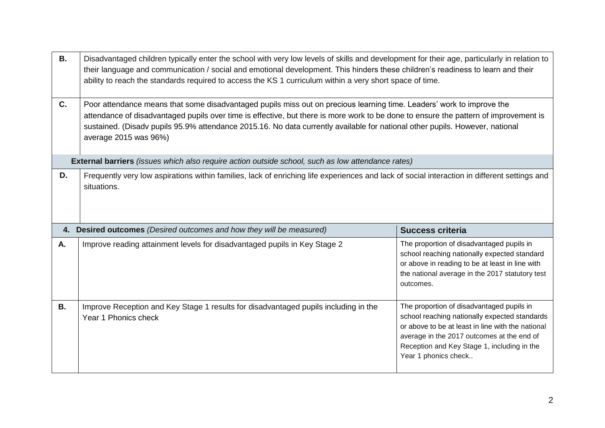| <b>B.</b> | Disadvantaged children typically enter the school with very low levels of skills and development for their age, particularly in relation to<br>their language and communication / social and emotional development. This hinders these children's readiness to learn and their<br>ability to reach the standards required to access the KS 1 curriculum within a very short space of time.                             |                                                                                                                                                                                                              |  |  |  |
|-----------|------------------------------------------------------------------------------------------------------------------------------------------------------------------------------------------------------------------------------------------------------------------------------------------------------------------------------------------------------------------------------------------------------------------------|--------------------------------------------------------------------------------------------------------------------------------------------------------------------------------------------------------------|--|--|--|
| C.        | Poor attendance means that some disadvantaged pupils miss out on precious learning time. Leaders' work to improve the<br>attendance of disadvantaged pupils over time is effective, but there is more work to be done to ensure the pattern of improvement is<br>sustained. (Disadv pupils 95.9% attendance 2015.16. No data currently available for national other pupils. However, national<br>average 2015 was 96%) |                                                                                                                                                                                                              |  |  |  |
|           | External barriers (issues which also require action outside school, such as low attendance rates)                                                                                                                                                                                                                                                                                                                      |                                                                                                                                                                                                              |  |  |  |
| D.        | Frequently very low aspirations within families, lack of enriching life experiences and lack of social interaction in different settings and<br>situations.                                                                                                                                                                                                                                                            |                                                                                                                                                                                                              |  |  |  |
|           |                                                                                                                                                                                                                                                                                                                                                                                                                        |                                                                                                                                                                                                              |  |  |  |
|           | 4. Desired outcomes (Desired outcomes and how they will be measured)                                                                                                                                                                                                                                                                                                                                                   | <b>Success criteria</b>                                                                                                                                                                                      |  |  |  |
| Α.        | Improve reading attainment levels for disadvantaged pupils in Key Stage 2                                                                                                                                                                                                                                                                                                                                              | The proportion of disadvantaged pupils in<br>school reaching nationally expected standard<br>or above in reading to be at least in line with<br>the national average in the 2017 statutory test<br>outcomes. |  |  |  |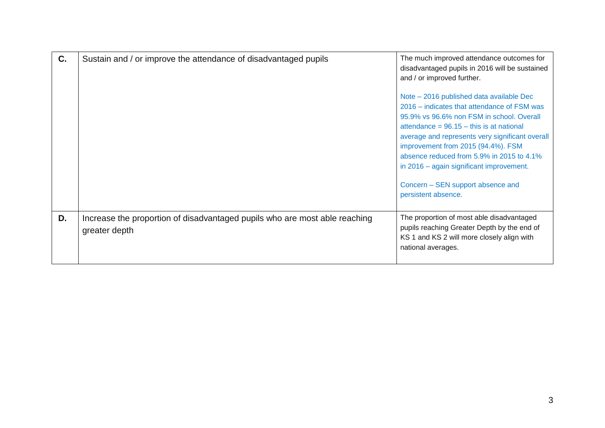| C. | Sustain and / or improve the attendance of disadvantaged pupils                             | The much improved attendance outcomes for<br>disadvantaged pupils in 2016 will be sustained<br>and / or improved further.<br>Note – 2016 published data available Dec<br>2016 – indicates that attendance of FSM was<br>95.9% vs 96.6% non FSM in school. Overall<br>attendance = $96.15 -$ this is at national<br>average and represents very significant overall<br>improvement from 2015 (94.4%). FSM<br>absence reduced from 5.9% in 2015 to 4.1%<br>in 2016 – again significant improvement.<br>Concern - SEN support absence and<br>persistent absence. |
|----|---------------------------------------------------------------------------------------------|---------------------------------------------------------------------------------------------------------------------------------------------------------------------------------------------------------------------------------------------------------------------------------------------------------------------------------------------------------------------------------------------------------------------------------------------------------------------------------------------------------------------------------------------------------------|
| D. | Increase the proportion of disadvantaged pupils who are most able reaching<br>greater depth | The proportion of most able disadvantaged<br>pupils reaching Greater Depth by the end of<br>KS 1 and KS 2 will more closely align with<br>national averages.                                                                                                                                                                                                                                                                                                                                                                                                  |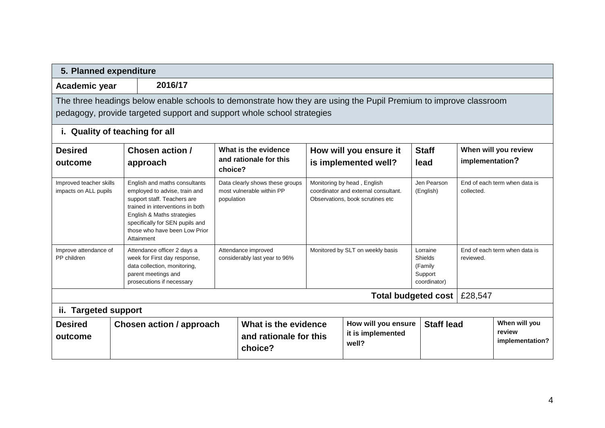| 5. Planned expenditure                           |                                                                                                                                                                                                                                                   |            |                                                                                          |  |                                                                                                         |                          |                               |                                            |
|--------------------------------------------------|---------------------------------------------------------------------------------------------------------------------------------------------------------------------------------------------------------------------------------------------------|------------|------------------------------------------------------------------------------------------|--|---------------------------------------------------------------------------------------------------------|--------------------------|-------------------------------|--------------------------------------------|
| Academic year                                    | 2016/17                                                                                                                                                                                                                                           |            |                                                                                          |  |                                                                                                         |                          |                               |                                            |
|                                                  | The three headings below enable schools to demonstrate how they are using the Pupil Premium to improve classroom<br>pedagogy, provide targeted support and support whole school strategies                                                        |            |                                                                                          |  |                                                                                                         |                          |                               |                                            |
| i. Quality of teaching for all                   |                                                                                                                                                                                                                                                   |            |                                                                                          |  |                                                                                                         |                          |                               |                                            |
| <b>Desired</b><br>outcome                        | <b>Chosen action /</b><br>approach                                                                                                                                                                                                                | choice?    | What is the evidence<br>and rationale for this                                           |  | How will you ensure it<br>is implemented well?                                                          | <b>Staff</b><br>lead     | implementation?               | When will you review                       |
| Improved teacher skills<br>impacts on ALL pupils | English and maths consultants<br>employed to advise, train and<br>support staff. Teachers are<br>trained in interventions in both<br>English & Maths strategies<br>specifically for SEN pupils and<br>those who have been Low Prior<br>Attainment | population | Data clearly shows these groups<br>most vulnerable within PP                             |  | Monitoring by head, English<br>coordinator and external consultant.<br>Observations, book scrutines etc | Jen Pearson<br>(English) | collected.                    | End of each term when data is              |
| Improve attendance of<br>PP children             | Attendance officer 2 days a<br>week for First day response,<br>data collection, monitoring,<br>parent meetings and<br>prosecutions if necessary                                                                                                   |            | Attendance improved<br>Monitored by SLT on weekly basis<br>considerably last year to 96% |  | Lorraine<br>Shields<br>(Family<br>Support<br>coordinator)                                               | reviewed.                | End of each term when data is |                                            |
|                                                  |                                                                                                                                                                                                                                                   |            |                                                                                          |  |                                                                                                         | Total budgeted cost      | £28,547                       |                                            |
| ii. Targeted support                             |                                                                                                                                                                                                                                                   |            |                                                                                          |  |                                                                                                         |                          |                               |                                            |
| <b>Desired</b><br>outcome                        | <b>Chosen action / approach</b>                                                                                                                                                                                                                   |            | What is the evidence<br>and rationale for this<br>choice?                                |  | How will you ensure<br>it is implemented<br>well?                                                       | <b>Staff lead</b>        |                               | When will you<br>review<br>implementation? |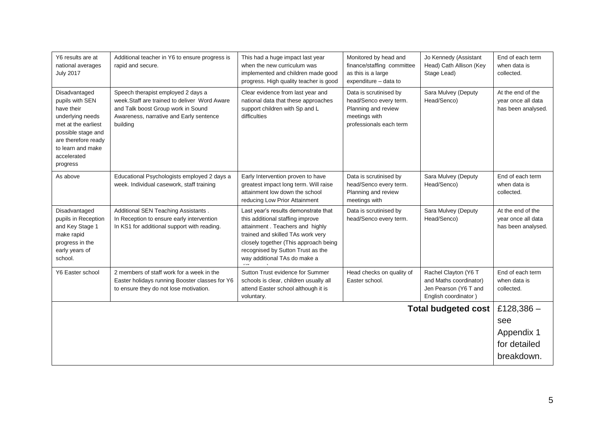| Y6 results are at<br>national averages<br><b>July 2017</b>                                                                                                                             | Additional teacher in Y6 to ensure progress is<br>rapid and secure.                                                                                                              | This had a huge impact last year<br>when the new curriculum was<br>implemented and children made good<br>progress. High quality teacher is good                                                                                                                | Monitored by head and<br>finance/staffing committee<br>as this is a large<br>expenditure - data to                  | Jo Kennedy (Assistant<br>Head) Cath Allison (Key<br>Stage Lead)                                 | End of each term<br>when data is<br>collected.                |
|----------------------------------------------------------------------------------------------------------------------------------------------------------------------------------------|----------------------------------------------------------------------------------------------------------------------------------------------------------------------------------|----------------------------------------------------------------------------------------------------------------------------------------------------------------------------------------------------------------------------------------------------------------|---------------------------------------------------------------------------------------------------------------------|-------------------------------------------------------------------------------------------------|---------------------------------------------------------------|
| Disadvantaged<br>pupils with SEN<br>have their<br>underlying needs<br>met at the earliest<br>possible stage and<br>are therefore ready<br>to learn and make<br>accelerated<br>progress | Speech therapist employed 2 days a<br>week. Staff are trained to deliver Word Aware<br>and Talk boost Group work in Sound<br>Awareness, narrative and Early sentence<br>building | Clear evidence from last year and<br>national data that these approaches<br>support children with Sp and L<br>difficulties                                                                                                                                     | Data is scrutinised by<br>head/Senco every term.<br>Planning and review<br>meetings with<br>professionals each term | Sara Mulvey (Deputy<br>Head/Senco)                                                              | At the end of the<br>year once all data<br>has been analysed. |
| As above                                                                                                                                                                               | Educational Psychologists employed 2 days a<br>week. Individual casework, staff training                                                                                         | Early Intervention proven to have<br>greatest impact long term. Will raise<br>attainment low down the school<br>reducing Low Prior Attainment                                                                                                                  | Data is scrutinised by<br>head/Senco every term.<br>Planning and review<br>meetings with                            | Sara Mulvey (Deputy<br>Head/Senco)                                                              | End of each term<br>when data is<br>collected.                |
| Disadvantaged<br>pupils in Reception<br>and Key Stage 1<br>make rapid<br>progress in the<br>early years of<br>school.                                                                  | Additional SEN Teaching Assistants.<br>In Reception to ensure early intervention<br>In KS1 for additional support with reading.                                                  | Last year's results demonstrate that<br>this additional staffing improve<br>attainment. Teachers and highly<br>trained and skilled TAs work very<br>closely together (This approach being<br>recognised by Sutton Trust as the<br>way additional TAs do make a | Data is scrutinised by<br>head/Senco every term.                                                                    | Sara Mulvey (Deputy<br>Head/Senco)                                                              | At the end of the<br>year once all data<br>has been analysed. |
| Y6 Easter school                                                                                                                                                                       | 2 members of staff work for a week in the<br>Easter holidays running Booster classes for Y6<br>to ensure they do not lose motivation.                                            | Sutton Trust evidence for Summer<br>schools is clear, children usually all<br>attend Easter school although it is<br>voluntary.                                                                                                                                | Head checks on quality of<br>Easter school.                                                                         | Rachel Clayton (Y6 T<br>and Maths coordinator)<br>Jen Pearson (Y6 T and<br>English coordinator) | End of each term<br>when data is<br>collected.                |
|                                                                                                                                                                                        |                                                                                                                                                                                  |                                                                                                                                                                                                                                                                |                                                                                                                     | <b>Total budgeted cost</b>                                                                      | £128,386 $-$                                                  |
|                                                                                                                                                                                        |                                                                                                                                                                                  |                                                                                                                                                                                                                                                                |                                                                                                                     |                                                                                                 | see                                                           |
|                                                                                                                                                                                        |                                                                                                                                                                                  |                                                                                                                                                                                                                                                                |                                                                                                                     |                                                                                                 | Appendix 1                                                    |
|                                                                                                                                                                                        |                                                                                                                                                                                  |                                                                                                                                                                                                                                                                |                                                                                                                     |                                                                                                 | for detailed                                                  |
|                                                                                                                                                                                        |                                                                                                                                                                                  |                                                                                                                                                                                                                                                                |                                                                                                                     |                                                                                                 | breakdown.                                                    |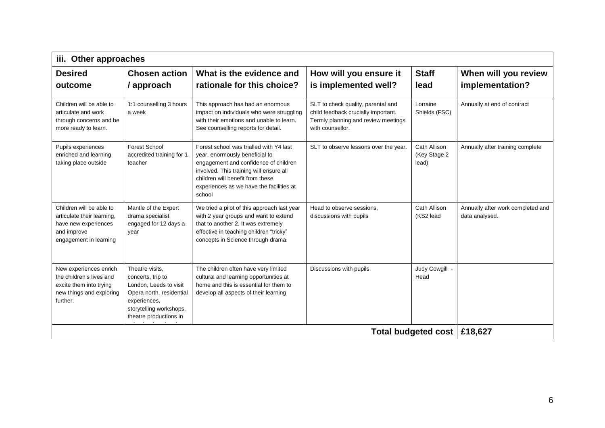| iii.                                                                                                                    | Other approaches                                                                                                                                                |                                                                                                                                                                                                                                                         |                                                                                                                                      |                                       |                                                     |
|-------------------------------------------------------------------------------------------------------------------------|-----------------------------------------------------------------------------------------------------------------------------------------------------------------|---------------------------------------------------------------------------------------------------------------------------------------------------------------------------------------------------------------------------------------------------------|--------------------------------------------------------------------------------------------------------------------------------------|---------------------------------------|-----------------------------------------------------|
| <b>Desired</b>                                                                                                          | <b>Chosen action</b>                                                                                                                                            | What is the evidence and                                                                                                                                                                                                                                | How will you ensure it                                                                                                               | <b>Staff</b>                          | When will you review                                |
| outcome                                                                                                                 | / approach                                                                                                                                                      | rationale for this choice?                                                                                                                                                                                                                              | is implemented well?                                                                                                                 | lead                                  | implementation?                                     |
| Children will be able to<br>articulate and work<br>through concerns and be<br>more ready to learn.                      | 1:1 counselling 3 hours<br>a week                                                                                                                               | This approach has had an enormous<br>impact on individuals who were struggling<br>with their emotions and unable to learn.<br>See counselling reports for detail.                                                                                       | SLT to check quality, parental and<br>child feedback crucially important.<br>Termly planning and review meetings<br>with counsellor. | Lorraine<br>Shields (FSC)             | Annually at end of contract                         |
| Pupils experiences<br>enriched and learning<br>taking place outside                                                     | <b>Forest School</b><br>accredited training for 1<br>teacher                                                                                                    | Forest school was trialled with Y4 last<br>year, enormously beneficial to<br>engagement and confidence of children<br>involved. This training will ensure all<br>children will benefit from these<br>experiences as we have the facilities at<br>school | SLT to observe lessons over the year.                                                                                                | Cath Allison<br>(Key Stage 2<br>lead) | Annually after training complete                    |
| Children will be able to<br>articulate their learning,<br>have new experiences<br>and improve<br>engagement in learning | Mantle of the Expert<br>drama specialist<br>engaged for 12 days a<br>year                                                                                       | We tried a pilot of this approach last year<br>with 2 year groups and want to extend<br>that to another 2. It was extremely<br>effective in teaching children "tricky"<br>concepts in Science through drama.                                            | Head to observe sessions,<br>discussions with pupils                                                                                 | Cath Allison<br>(KS2 lead             | Annually after work completed and<br>data analysed. |
| New experiences enrich<br>the children's lives and<br>excite them into trying<br>new things and exploring<br>further.   | Theatre visits,<br>concerts, trip to<br>London, Leeds to visit<br>Opera north, residential<br>experiences,<br>storytelling workshops,<br>theatre productions in | The children often have very limited<br>cultural and learning opportunities at<br>home and this is essential for them to<br>develop all aspects of their learning                                                                                       | Discussions with pupils                                                                                                              | Judy Cowgill -<br>Head                |                                                     |
|                                                                                                                         |                                                                                                                                                                 |                                                                                                                                                                                                                                                         |                                                                                                                                      | Total budgeted cost                   | £18,627                                             |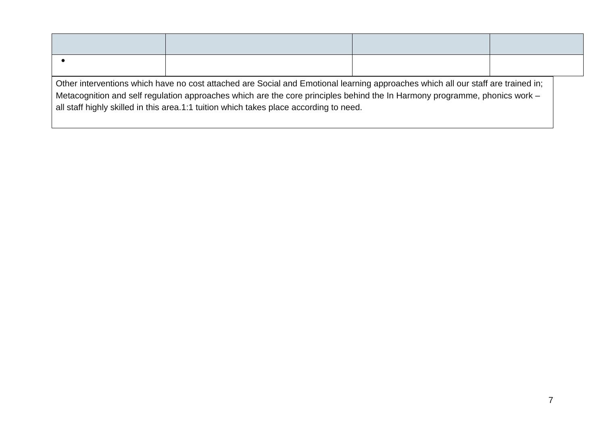| Other interventions which have no cost attached are Social and Emotional learning approaches which all our staff are trained in;<br>Metacognition and self regulation approaches which are the core principles behind the In Harmony programme, phonics work –<br>all staff highly skilled in this area.1:1 tuition which takes place according to need. |  |  |  |  |
|----------------------------------------------------------------------------------------------------------------------------------------------------------------------------------------------------------------------------------------------------------------------------------------------------------------------------------------------------------|--|--|--|--|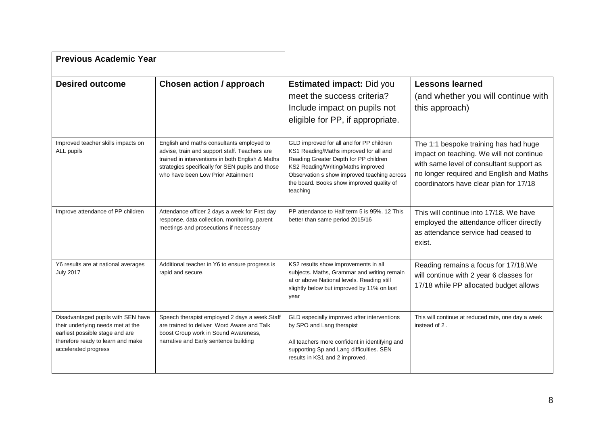| <b>Previous Academic Year</b>                                                                                                                                           |                                                                                                                                                                                                                                          |                                                                                                                                                                                                                                                                           |                                                                                                                                                                                                                     |
|-------------------------------------------------------------------------------------------------------------------------------------------------------------------------|------------------------------------------------------------------------------------------------------------------------------------------------------------------------------------------------------------------------------------------|---------------------------------------------------------------------------------------------------------------------------------------------------------------------------------------------------------------------------------------------------------------------------|---------------------------------------------------------------------------------------------------------------------------------------------------------------------------------------------------------------------|
| <b>Desired outcome</b>                                                                                                                                                  | <b>Chosen action / approach</b>                                                                                                                                                                                                          | <b>Estimated impact: Did you</b><br>meet the success criteria?<br>Include impact on pupils not<br>eligible for PP, if appropriate.                                                                                                                                        | <b>Lessons learned</b><br>(and whether you will continue with<br>this approach)                                                                                                                                     |
| Improved teacher skills impacts on<br>ALL pupils                                                                                                                        | English and maths consultants employed to<br>advise, train and support staff. Teachers are<br>trained in interventions in both English & Maths<br>strategies specifically for SEN pupils and those<br>who have been Low Prior Attainment | GLD improved for all and for PP children<br>KS1 Reading/Maths improved for all and<br>Reading Greater Depth for PP children<br>KS2 Reading/Writing/Maths improved<br>Observation s show improved teaching across<br>the board. Books show improved quality of<br>teaching | The 1:1 bespoke training has had huge<br>impact on teaching. We will not continue<br>with same level of consultant support as<br>no longer required and English and Maths<br>coordinators have clear plan for 17/18 |
| Improve attendance of PP children                                                                                                                                       | Attendance officer 2 days a week for First day<br>response, data collection, monitoring, parent<br>meetings and prosecutions if necessary                                                                                                | PP attendance to Half term 5 is 95%. 12 This<br>better than same period 2015/16                                                                                                                                                                                           | This will continue into 17/18. We have<br>employed the attendance officer directly<br>as attendance service had ceased to<br>exist.                                                                                 |
| Y6 results are at national averages<br><b>July 2017</b>                                                                                                                 | Additional teacher in Y6 to ensure progress is<br>rapid and secure.                                                                                                                                                                      | KS2 results show improvements in all<br>subjects. Maths, Grammar and writing remain<br>at or above National levels. Reading still<br>slightly below but improved by 11% on last<br>year                                                                                   | Reading remains a focus for 17/18. We<br>will continue with 2 year 6 classes for<br>17/18 while PP allocated budget allows                                                                                          |
| Disadvantaged pupils with SEN have<br>their underlying needs met at the<br>earliest possible stage and are<br>therefore ready to learn and make<br>accelerated progress | Speech therapist employed 2 days a week.Staff<br>are trained to deliver Word Aware and Talk<br>boost Group work in Sound Awareness,<br>narrative and Early sentence building                                                             | GLD especially improved after interventions<br>by SPO and Lang therapist<br>All teachers more confident in identifying and<br>supporting Sp and Lang difficulties. SEN<br>results in KS1 and 2 improved.                                                                  | This will continue at reduced rate, one day a week<br>instead of 2.                                                                                                                                                 |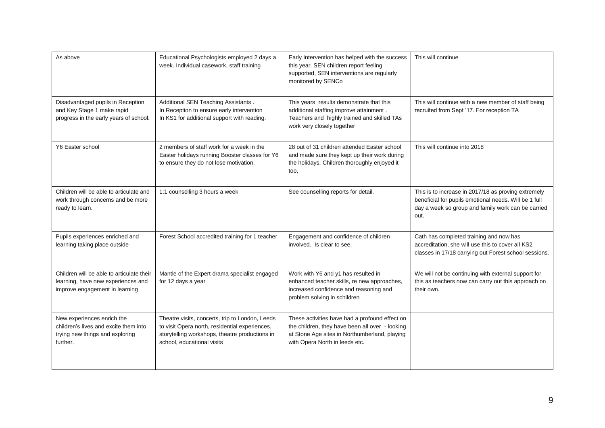| As above                                                                                                           | Educational Psychologists employed 2 days a<br>week. Individual casework, staff training                                                                                          | Early Intervention has helped with the success<br>this year. SEN children report feeling<br>supported, SEN interventions are regularly<br>monitored by SENCo                         | This will continue                                                                                                                                                         |
|--------------------------------------------------------------------------------------------------------------------|-----------------------------------------------------------------------------------------------------------------------------------------------------------------------------------|--------------------------------------------------------------------------------------------------------------------------------------------------------------------------------------|----------------------------------------------------------------------------------------------------------------------------------------------------------------------------|
| Disadvantaged pupils in Reception<br>and Key Stage 1 make rapid<br>progress in the early years of school.          | Additional SEN Teaching Assistants.<br>In Reception to ensure early intervention<br>In KS1 for additional support with reading.                                                   | This years results demonstrate that this<br>additional staffing improve attainment.<br>Teachers and highly trained and skilled TAs<br>work very closely together                     | This will continue with a new member of staff being<br>recruited from Sept '17. For reception TA                                                                           |
| Y6 Easter school                                                                                                   | 2 members of staff work for a week in the<br>Easter holidays running Booster classes for Y6<br>to ensure they do not lose motivation.                                             | 28 out of 31 children attended Easter school<br>and made sure they kept up their work during<br>the holidays. Children thoroughly enjoyed it<br>too,                                 | This will continue into 2018                                                                                                                                               |
| Children will be able to articulate and<br>work through concerns and be more<br>ready to learn.                    | 1:1 counselling 3 hours a week                                                                                                                                                    | See counselling reports for detail.                                                                                                                                                  | This is to increase in 2017/18 as proving extremely<br>beneficial for pupils emotional needs. Will be 1 full<br>day a week so group and family work can be carried<br>out. |
| Pupils experiences enriched and<br>learning taking place outside                                                   | Forest School accredited training for 1 teacher                                                                                                                                   | Engagement and confidence of children<br>involved. Is clear to see.                                                                                                                  | Cath has completed training and now has<br>accreditation, she will use this to cover all KS2<br>classes in 17/18 carrying out Forest school sessions.                      |
| Children will be able to articulate their<br>learning, have new experiences and<br>improve engagement in learning  | Mantle of the Expert drama specialist engaged<br>for 12 days a year                                                                                                               | Work with Y6 and y1 has resulted in<br>enhanced teacher skills, re new approaches,<br>increased confidence and reasoning and<br>problem solving in schildren                         | We will not be continuing with external support for<br>this as teachers now can carry out this approach on<br>their own.                                                   |
| New experiences enrich the<br>children's lives and excite them into<br>trying new things and exploring<br>further. | Theatre visits, concerts, trip to London, Leeds<br>to visit Opera north, residential experiences,<br>storytelling workshops, theatre productions in<br>school, educational visits | These activities have had a profound effect on<br>the children, they have been all over - looking<br>at Stone Age sites in Northumberland, playing<br>with Opera North in leeds etc. |                                                                                                                                                                            |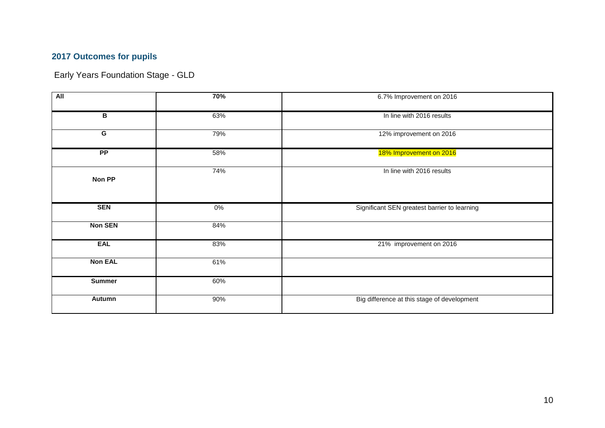### **2017 Outcomes for pupils**

Early Years Foundation Stage - GLD

| All            | 70%   | 6.7% Improvement on 2016                     |  |  |
|----------------|-------|----------------------------------------------|--|--|
| B              | 63%   | In line with 2016 results                    |  |  |
| $\overline{G}$ | 79%   | 12% improvement on 2016                      |  |  |
| PP             | 58%   | 18% Improvement on 2016                      |  |  |
| Non PP         | 74%   | In line with 2016 results                    |  |  |
| <b>SEN</b>     | $0\%$ | Significant SEN greatest barrier to learning |  |  |
| <b>Non SEN</b> | 84%   |                                              |  |  |
| <b>EAL</b>     | 83%   | 21% improvement on 2016                      |  |  |
| <b>Non EAL</b> | 61%   |                                              |  |  |
| <b>Summer</b>  | 60%   |                                              |  |  |
| <b>Autumn</b>  | 90%   | Big difference at this stage of development  |  |  |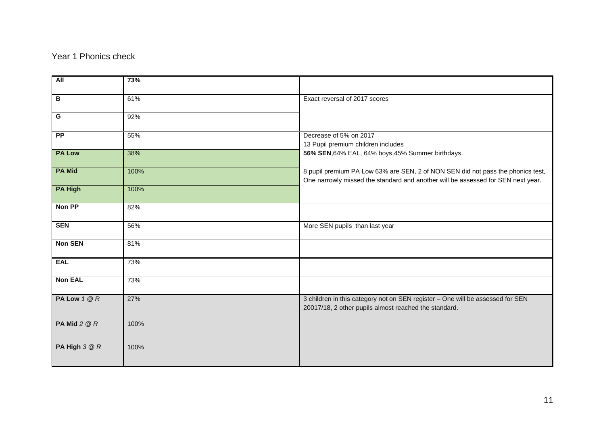### Year 1 Phonics check

| <b>All</b>      | 73%  |                                                                                                                                                                     |
|-----------------|------|---------------------------------------------------------------------------------------------------------------------------------------------------------------------|
| B               | 61%  | Exact reversal of 2017 scores                                                                                                                                       |
| G               | 92%  |                                                                                                                                                                     |
| $\overline{PP}$ | 55%  | Decrease of 5% on 2017<br>13 Pupil premium children includes                                                                                                        |
| <b>PA Low</b>   | 38%  | 56% SEN, 64% EAL, 64% boys, 45% Summer birthdays.                                                                                                                   |
| <b>PA Mid</b>   | 100% | 8 pupil premium PA Low 63% are SEN, 2 of NON SEN did not pass the phonics test,<br>One narrowly missed the standard and another will be assessed for SEN next year. |
| <b>PA High</b>  | 100% |                                                                                                                                                                     |
| Non PP          | 82%  |                                                                                                                                                                     |
| <b>SEN</b>      | 56%  | More SEN pupils than last year                                                                                                                                      |
| <b>Non SEN</b>  | 81%  |                                                                                                                                                                     |
| <b>EAL</b>      | 73%  |                                                                                                                                                                     |
| <b>Non EAL</b>  | 73%  |                                                                                                                                                                     |
| PA Low 1 @ R    | 27%  | 3 children in this category not on SEN register - One will be assessed for SEN<br>20017/18, 2 other pupils almost reached the standard.                             |
| PA Mid $2@R$    | 100% |                                                                                                                                                                     |
| PA High 3 @ R   | 100% |                                                                                                                                                                     |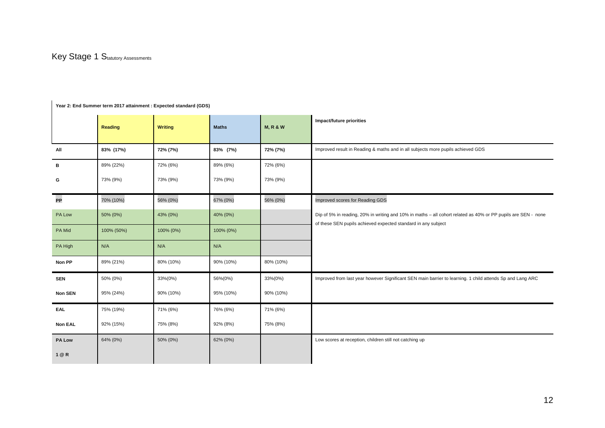# **Year 2: End Summer term 2017 attainment : Expected standard (GDS)**

|               | <b>Reading</b> | <b>Writing</b> | <b>Maths</b> | <b>M, R &amp; W</b> | Impact/future priorities                                                                                                                                                       |
|---------------|----------------|----------------|--------------|---------------------|--------------------------------------------------------------------------------------------------------------------------------------------------------------------------------|
| All           | 83% (17%)      | 72% (7%)       | 83% (7%)     | 72% (7%)            | Improved result in Reading & maths and in all subjects more pupils achieved GDS                                                                                                |
|               |                |                |              |                     |                                                                                                                                                                                |
| B             | 89% (22%)      | 72% (6%)       | 89% (6%)     | 72% (6%)            |                                                                                                                                                                                |
| G             | 73% (9%)       | 73% (9%)       | 73% (9%)     | 73% (9%)            |                                                                                                                                                                                |
| PP            | 70% (10%)      | 56% (0%)       | 67% (0%)     | 56% (0%)            | Improved scores for Reading GDS                                                                                                                                                |
| PA Low        | 50% (0%)       | 43% (0%)       | 40% (0%)     |                     | Dip of 5% in reading, 20% in writing and 10% in maths - all cohort related as 40% or PP pupils are SEN - none<br>of these SEN pupils achieved expected standard in any subject |
| PA Mid        | 100% (50%)     | 100% (0%)      | 100% (0%)    |                     |                                                                                                                                                                                |
| PA High       | N/A            | N/A            | N/A          |                     |                                                                                                                                                                                |
| Non PP        | 89% (21%)      | 80% (10%)      | 90% (10%)    | 80% (10%)           |                                                                                                                                                                                |
| <b>SEN</b>    | 50% (0%)       | 33%(0%)        | 56%(0%)      | 33%(0%)             | Improved from last year however Significant SEN main barrier to learning. 1 child attends Sp and Lang ARC                                                                      |
| Non SEN       | 95% (24%)      | 90% (10%)      | 95% (10%)    | 90% (10%)           |                                                                                                                                                                                |
| EAL           | 75% (19%)      | 71% (6%)       | 76% (6%)     | 71% (6%)            |                                                                                                                                                                                |
| Non EAL       | 92% (15%)      | 75% (8%)       | 92% (8%)     | 75% (8%)            |                                                                                                                                                                                |
| <b>PA Low</b> | 64% (0%)       | 50% (0%)       | 62% (0%)     |                     | Low scores at reception, children still not catching up                                                                                                                        |
| 1 @ R         |                |                |              |                     |                                                                                                                                                                                |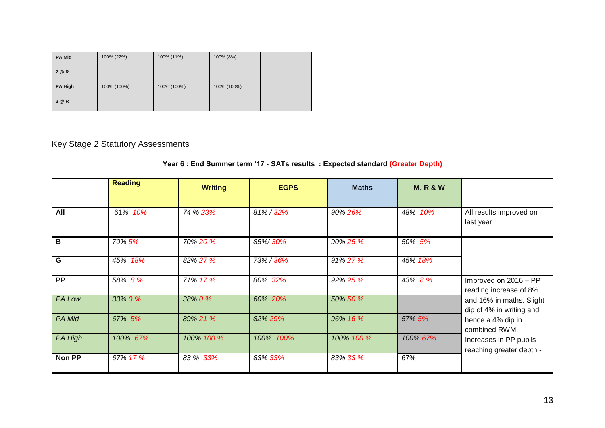| <b>PA Mid</b>  | 100% (22%)  | 100% (11%)  | 100% (8%)   |  |
|----------------|-------------|-------------|-------------|--|
| 2 @ R          |             |             |             |  |
| <b>PA High</b> | 100% (100%) | 100% (100%) | 100% (100%) |  |
| 3 @ R          |             |             |             |  |

## Key Stage 2 Statutory Assessments

| Year 6 : End Summer term '17 - SATs results : Expected standard (Greater Depth) |                |                |             |              |                     |                                                                                                         |
|---------------------------------------------------------------------------------|----------------|----------------|-------------|--------------|---------------------|---------------------------------------------------------------------------------------------------------|
|                                                                                 | <b>Reading</b> | <b>Writing</b> | <b>EGPS</b> | <b>Maths</b> | <b>M, R &amp; W</b> |                                                                                                         |
| All                                                                             | 61% 10%        | 74 % 23%       | 81%/32%     | 90% 26%      | 48% 10%             | All results improved on<br>last year                                                                    |
| B                                                                               | 70% 5%         | 70% 20 %       | 85%/30%     | 90% 25 %     | 50% 5%              |                                                                                                         |
| G                                                                               | 45% 18%        | 82% 27%        | 73% / 36%   | 91% 27%      | 45% 18%             |                                                                                                         |
| <b>PP</b>                                                                       | 58% 8%         | 71% 17%        | 80% 32%     | 92% 25%      | 43% 8 %             | Improved on 2016 - PP<br>reading increase of 8%<br>and 16% in maths. Slight<br>dip of 4% in writing and |
| <b>PA Low</b>                                                                   | 33% 0 %        | 38% 0 %        | 60% 20%     | 50% 50 %     |                     |                                                                                                         |
| PA Mid                                                                          | 67% 5%         | 89% 21 %       | 82% 29%     | 96% 16 %     | 57% 5%              | hence a 4% dip in<br>combined RWM.                                                                      |
| <b>PA High</b>                                                                  | 100% 67%       | 100% 100 %     | 100% 100%   | 100% 100 %   | 100% 67%            | Increases in PP pupils<br>reaching greater depth -                                                      |
| Non PP                                                                          | 67% 17%        | 83 % 33%       | 83% 33%     | 83% 33 %     | 67%                 |                                                                                                         |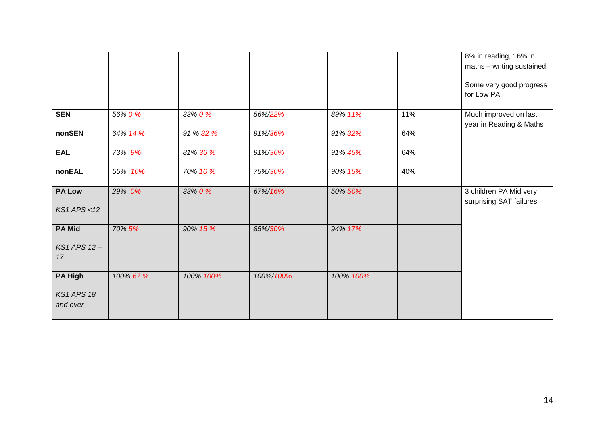|                                                 |           |           |           |           |     | 8% in reading, 16% in<br>maths - writing sustained. |
|-------------------------------------------------|-----------|-----------|-----------|-----------|-----|-----------------------------------------------------|
|                                                 |           |           |           |           |     | Some very good progress<br>for Low PA.              |
| <b>SEN</b>                                      | 56% 0 %   | 33% 0 %   | 56%/22%   | 89% 11%   | 11% | Much improved on last<br>year in Reading & Maths    |
| nonSEN                                          | 64% 14 %  | 91 % 32 % | 91%/36%   | 91% 32%   | 64% |                                                     |
| <b>EAL</b>                                      | 73% 9%    | 81% 36 %  | 91%/36%   | 91% 45%   | 64% |                                                     |
| nonEAL                                          | 55% 10%   | 70% 10 %  | 75%/30%   | 90% 15%   | 40% |                                                     |
| <b>PA Low</b><br>$KS1$ APS <12                  | 29% 0%    | 33% 0 %   | 67%/16%   | 50% 50%   |     | 3 children PA Mid very<br>surprising SAT failures   |
| <b>PA Mid</b><br>KS1 APS 12-<br>17              | 70% 5%    | 90% 15 %  | 85%/30%   | 94% 17%   |     |                                                     |
| <b>PA High</b><br><b>KS1 APS 18</b><br>and over | 100% 67 % | 100% 100% | 100%/100% | 100% 100% |     |                                                     |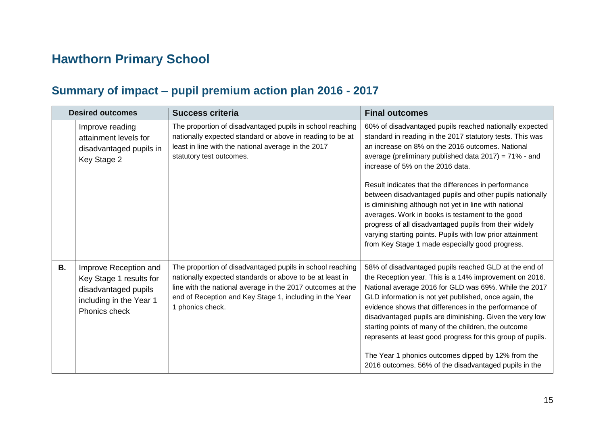# **Hawthorn Primary School**

## **Summary of impact – pupil premium action plan 2016 - 2017**

|           | <b>Desired outcomes</b>                                                                                              | <b>Success criteria</b>                                                                                                                                                                                                                                            | <b>Final outcomes</b>                                                                                                                                                                                                                                                                                                                                                                                                                                                                                                                                                                                                                                                            |  |
|-----------|----------------------------------------------------------------------------------------------------------------------|--------------------------------------------------------------------------------------------------------------------------------------------------------------------------------------------------------------------------------------------------------------------|----------------------------------------------------------------------------------------------------------------------------------------------------------------------------------------------------------------------------------------------------------------------------------------------------------------------------------------------------------------------------------------------------------------------------------------------------------------------------------------------------------------------------------------------------------------------------------------------------------------------------------------------------------------------------------|--|
|           | Improve reading<br>attainment levels for<br>disadvantaged pupils in<br>Key Stage 2                                   | The proportion of disadvantaged pupils in school reaching<br>nationally expected standard or above in reading to be at<br>least in line with the national average in the 2017<br>statutory test outcomes.                                                          | 60% of disadvantaged pupils reached nationally expected<br>standard in reading in the 2017 statutory tests. This was<br>an increase on 8% on the 2016 outcomes. National<br>average (preliminary published data 2017) = 71% - and<br>increase of 5% on the 2016 data.<br>Result indicates that the differences in performance<br>between disadvantaged pupils and other pupils nationally<br>is diminishing although not yet in line with national<br>averages. Work in books is testament to the good<br>progress of all disadvantaged pupils from their widely<br>varying starting points. Pupils with low prior attainment<br>from Key Stage 1 made especially good progress. |  |
| <b>B.</b> | Improve Reception and<br>Key Stage 1 results for<br>disadvantaged pupils<br>including in the Year 1<br>Phonics check | The proportion of disadvantaged pupils in school reaching<br>nationally expected standards or above to be at least in<br>line with the national average in the 2017 outcomes at the<br>end of Reception and Key Stage 1, including in the Year<br>1 phonics check. | 58% of disadvantaged pupils reached GLD at the end of<br>the Reception year. This is a 14% improvement on 2016.<br>National average 2016 for GLD was 69%. While the 2017<br>GLD information is not yet published, once again, the<br>evidence shows that differences in the performance of<br>disadvantaged pupils are diminishing. Given the very low<br>starting points of many of the children, the outcome<br>represents at least good progress for this group of pupils.<br>The Year 1 phonics outcomes dipped by 12% from the<br>2016 outcomes. 56% of the disadvantaged pupils in the                                                                                     |  |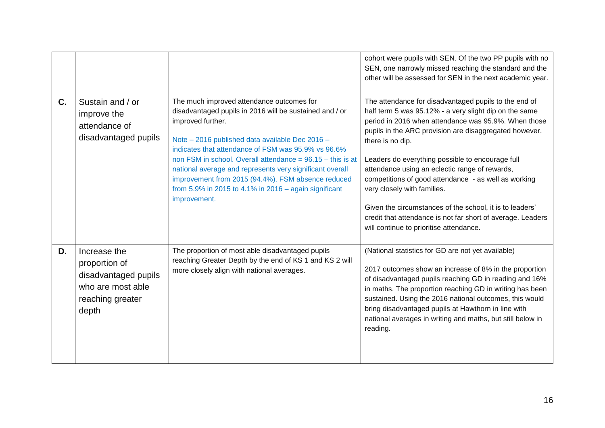|    |                                                                                                         |                                                                                                                                                                                                                                                                                                                                                                                                                                                                                                | cohort were pupils with SEN. Of the two PP pupils with no<br>SEN, one narrowly missed reaching the standard and the<br>other will be assessed for SEN in the next academic year.                                                                                                                                                                                                                                                                                                                                                                                                                                         |
|----|---------------------------------------------------------------------------------------------------------|------------------------------------------------------------------------------------------------------------------------------------------------------------------------------------------------------------------------------------------------------------------------------------------------------------------------------------------------------------------------------------------------------------------------------------------------------------------------------------------------|--------------------------------------------------------------------------------------------------------------------------------------------------------------------------------------------------------------------------------------------------------------------------------------------------------------------------------------------------------------------------------------------------------------------------------------------------------------------------------------------------------------------------------------------------------------------------------------------------------------------------|
| C. | Sustain and / or<br>improve the<br>attendance of<br>disadvantaged pupils                                | The much improved attendance outcomes for<br>disadvantaged pupils in 2016 will be sustained and / or<br>improved further.<br>Note - 2016 published data available Dec 2016 -<br>indicates that attendance of FSM was 95.9% vs 96.6%<br>non FSM in school. Overall attendance = $96.15 -$ this is at<br>national average and represents very significant overall<br>improvement from 2015 (94.4%). FSM absence reduced<br>from 5.9% in 2015 to 4.1% in 2016 – again significant<br>improvement. | The attendance for disadvantaged pupils to the end of<br>half term 5 was 95.12% - a very slight dip on the same<br>period in 2016 when attendance was 95.9%. When those<br>pupils in the ARC provision are disaggregated however,<br>there is no dip.<br>Leaders do everything possible to encourage full<br>attendance using an eclectic range of rewards,<br>competitions of good attendance - as well as working<br>very closely with families.<br>Given the circumstances of the school, it is to leaders'<br>credit that attendance is not far short of average. Leaders<br>will continue to prioritise attendance. |
| D. | Increase the<br>proportion of<br>disadvantaged pupils<br>who are most able<br>reaching greater<br>depth | The proportion of most able disadvantaged pupils<br>reaching Greater Depth by the end of KS 1 and KS 2 will<br>more closely align with national averages.                                                                                                                                                                                                                                                                                                                                      | (National statistics for GD are not yet available)<br>2017 outcomes show an increase of 8% in the proportion<br>of disadvantaged pupils reaching GD in reading and 16%<br>in maths. The proportion reaching GD in writing has been<br>sustained. Using the 2016 national outcomes, this would<br>bring disadvantaged pupils at Hawthorn in line with<br>national averages in writing and maths, but still below in<br>reading.                                                                                                                                                                                           |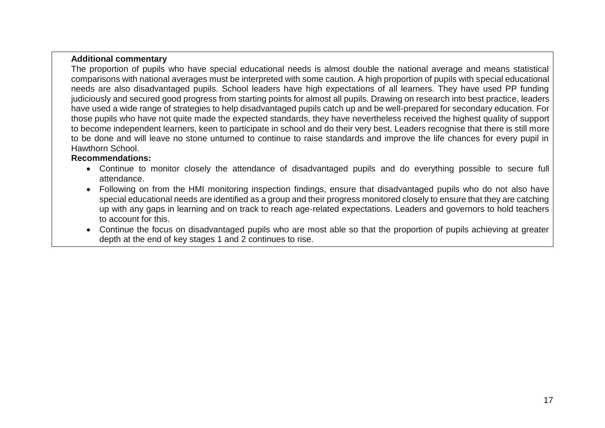#### **Additional commentary**

The proportion of pupils who have special educational needs is almost double the national average and means statistical comparisons with national averages must be interpreted with some caution. A high proportion of pupils with special educational needs are also disadvantaged pupils. School leaders have high expectations of all learners. They have used PP funding judiciously and secured good progress from starting points for almost all pupils. Drawing on research into best practice, leaders have used a wide range of strategies to help disadvantaged pupils catch up and be well-prepared for secondary education. For those pupils who have not quite made the expected standards, they have nevertheless received the highest quality of support to become independent learners, keen to participate in school and do their very best. Leaders recognise that there is still more to be done and will leave no stone unturned to continue to raise standards and improve the life chances for every pupil in Hawthorn School.

#### **Recommendations:**

- Continue to monitor closely the attendance of disadvantaged pupils and do everything possible to secure full attendance.
- Following on from the HMI monitoring inspection findings, ensure that disadvantaged pupils who do not also have special educational needs are identified as a group and their progress monitored closely to ensure that they are catching up with any gaps in learning and on track to reach age-related expectations. Leaders and governors to hold teachers to account for this.
- Continue the focus on disadvantaged pupils who are most able so that the proportion of pupils achieving at greater depth at the end of key stages 1 and 2 continues to rise.